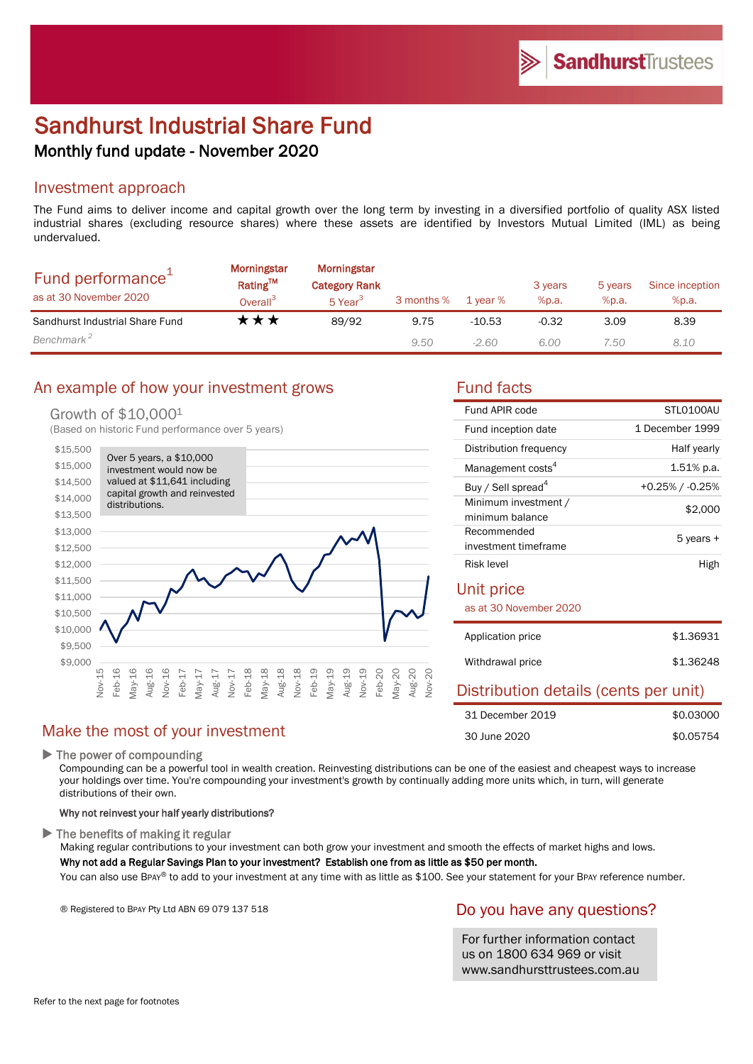# Sandhurst Industrial Share Fund Monthly fund update - November 2020

## Investment approach

The Fund aims to deliver income and capital growth over the long term by investing in a diversified portfolio of quality ASX listed industrial shares (excluding resource shares) where these assets are identified by Investors Mutual Limited (IML) as being undervalued.

| Fund performance <sup>+</sup><br>as at 30 November 2020 | Morningstar<br>Rating™<br>Overall <sup>3</sup> | Morningstar<br><b>Category Rank</b><br>5 Year <sup>3</sup> | 3 months % | 1 year % | 3 years<br>%p.a. | 5 years<br>%p.a. | Since inception<br>%p.a. |
|---------------------------------------------------------|------------------------------------------------|------------------------------------------------------------|------------|----------|------------------|------------------|--------------------------|
| Sandhurst Industrial Share Fund                         | t ★ ★                                          | 89/92                                                      | 9.75       | $-10.53$ | $-0.32$          | 3.09             | 8.39                     |
| Benchmark <sup>2</sup>                                  |                                                |                                                            | 9.50       | $-2.60$  | 6.00             | 7.50             | 8.10                     |

# An example of how your investment grows Fund facts

#### Growth of \$10,0001

(Based on historic Fund performance over 5 years)



# Make the most of your investment

▶ The power of compounding

Compounding can be a powerful tool in wealth creation. Reinvesting distributions can be one of the easiest and cheapest ways to increase your holdings over time. You're compounding your investment's growth by continually adding more units which, in turn, will generate distributions of their own.

#### Why not reinvest your half yearly distributions?

 $\blacktriangleright$  The benefits of making it regular

Making regular contributions to your investment can both grow your investment and smooth the effects of market highs and lows.

#### Why not add a Regular Savings Plan to your investment? Establish one from as little as \$50 per month.

You can also use BPAY® to add to your investment at any time with as little as \$100. See your statement for your BPAY reference number.

® Registered to BPAY Pty Ltd ABN 69 079 137 518

#### Do you have any questions?

For further information contact us on 1800 634 969 or visit www.sandhursttrustees.com.au

| Fund APIR code                          | STLO100AU             |
|-----------------------------------------|-----------------------|
| Fund inception date                     | 1 December 1999       |
| Distribution frequency                  | Half yearly           |
| Management costs <sup>4</sup>           | $1.51\%$ p.a.         |
| Buy / Sell spread <sup>4</sup>          | $+0.25\%$ / $-0.25\%$ |
| Minimum investment /<br>minimum balance | \$2,000               |
| Recommended<br>investment timeframe     | 5 years +             |
| Risk level                              | High                  |

#### Unit price

as at 30 November 2020

| Application price | \$1,36931 |
|-------------------|-----------|
| Withdrawal price  | \$1,36248 |

#### Distribution details (cents per unit)

| 31 December 2019 | \$0.03000 |
|------------------|-----------|
| 30 June 2020     | \$0.05754 |